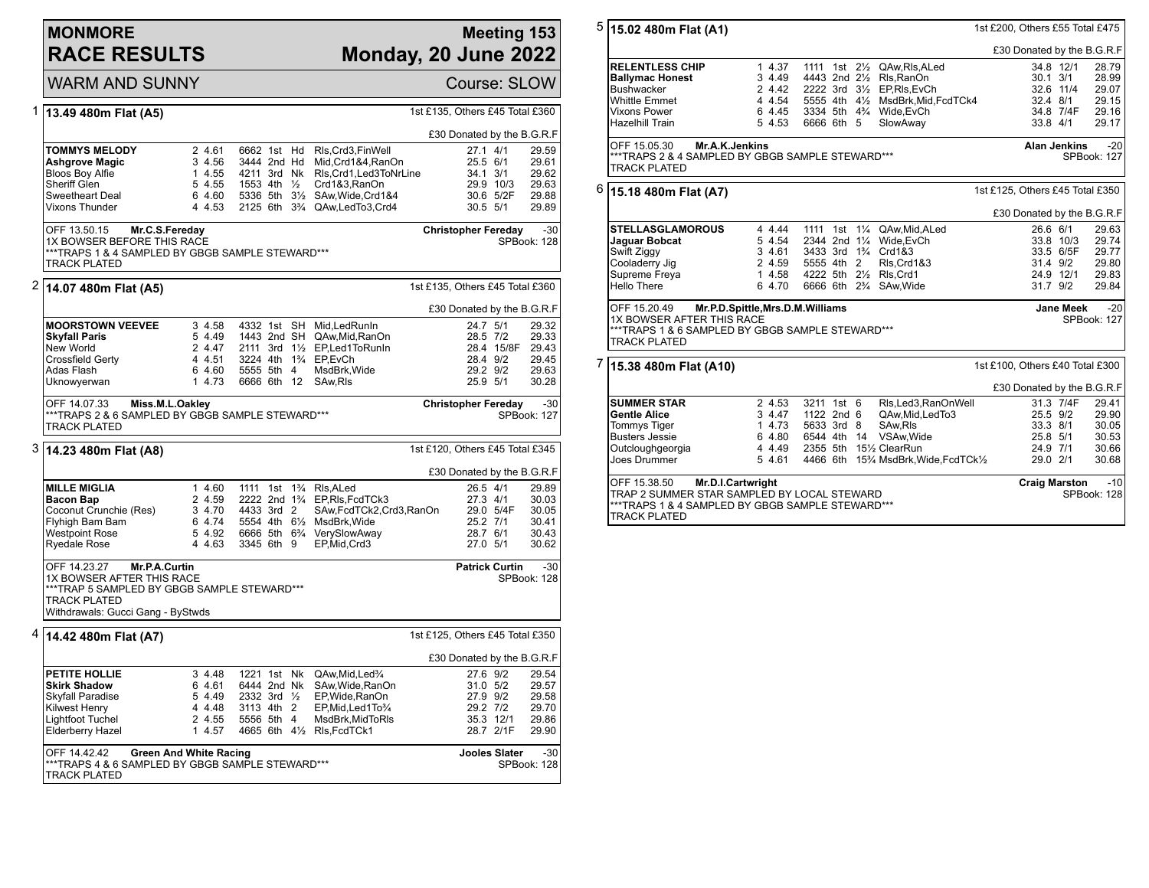## **MONMORE RACE RESULTS**

## **Meeting 153 Monday, 20 June 2022**

|   | <b>WARM AND SUNNY</b>                                                                                                                                                                                                  |                                                          | Course: SLOW                                                                                                                                           |                                                                                                                                                                          |                                                          |                                                                              |  |  |
|---|------------------------------------------------------------------------------------------------------------------------------------------------------------------------------------------------------------------------|----------------------------------------------------------|--------------------------------------------------------------------------------------------------------------------------------------------------------|--------------------------------------------------------------------------------------------------------------------------------------------------------------------------|----------------------------------------------------------|------------------------------------------------------------------------------|--|--|
|   | 1 13.49 480m Flat (A5)                                                                                                                                                                                                 |                                                          |                                                                                                                                                        |                                                                                                                                                                          | 1st £135, Others £45 Total £360                          |                                                                              |  |  |
|   |                                                                                                                                                                                                                        | £30 Donated by the B.G.R.F                               |                                                                                                                                                        |                                                                                                                                                                          |                                                          |                                                                              |  |  |
|   | TOMMYS MELODY<br>Ashgrove Magic<br><b>Bloos Boy Alfie</b><br>Sheriff Glen<br>Sweetheart Deal<br>Vixons Thunder                                                                                                         | 2 4.61<br>3 4.56<br>1 4.55<br>5 4.55<br>6 4.60<br>4 4.53 | 6662 1st Hd<br>3444 2nd Hd<br>4211 3rd Nk<br>1553 4th ½<br>5336 5th 3½                                                                                 | RIs, Crd3, Fin Well<br>Mid, Crd1&4, RanOn<br>RIs, Crd1, Led3ToNrLine<br>Crd1&3,RanOn<br>SAw, Wide, Crd1&4<br>2125 6th 3 <sup>3</sup> / <sub>4</sub> QAw, Led To 3, Crd 4 | $27.1$ 4/1<br>25.5 6/1<br>34.1 3/1<br>30.5 5/1           | 29.59<br>29.61<br>29.62<br>29.9 10/3<br>29.63<br>30.6 5/2F<br>29.88<br>29.89 |  |  |
|   | OFF 13.50.15<br>Mr.C.S.Fereday<br><b>Christopher Fereday</b><br>$-30$<br>1X BOWSER BEFORE THIS RACE<br>SPBook: 128<br><b>TRACK PLATED</b>                                                                              |                                                          |                                                                                                                                                        |                                                                                                                                                                          |                                                          |                                                                              |  |  |
| 2 | 14.07 480m Flat (A5)                                                                                                                                                                                                   |                                                          |                                                                                                                                                        |                                                                                                                                                                          | 1st £135, Others £45 Total £360                          |                                                                              |  |  |
|   |                                                                                                                                                                                                                        |                                                          |                                                                                                                                                        |                                                                                                                                                                          |                                                          | £30 Donated by the B.G.R.F                                                   |  |  |
|   | <b>MOORSTOWN VEEVEE</b><br><b>Skyfall Paris</b><br>New World<br>Crossfield Gerty<br>Adas Flash<br>Uknowyerwan                                                                                                          | 3 4.58<br>5 4.49<br>2 4.47<br>4 4.51<br>6 4.60<br>1 4.73 | 4332 1st<br><b>SH</b><br>1443 2nd SH<br>3224 4th<br>5555 5th 4<br>6666 6th<br>12                                                                       | Mid.LedRunIn<br>QAw, Mid, RanOn<br>2111 3rd 11/2 EP, Led 1 To Run In<br>1 <sup>3</sup> / <sub>4</sub> EP.EvCh<br>MsdBrk, Wide<br>SAw, RIs                                | 24.7 5/1<br>28.5 7/2<br>29.2 9/2<br>25.9 5/1             | 29.32<br>29.33<br>28.4 15/8F 29.43<br>28.4 9/2<br>29.45<br>29.63<br>30.28    |  |  |
|   | OFF 14.07.33<br>Miss.M.L.Oakley<br><b>Christopher Fereday</b><br>$-30$<br>***TRAPS 2 & 6 SAMPLED BY GBGB SAMPLE STEWARD***<br>SPBook: 127<br><b>TRACK PLATED</b>                                                       |                                                          |                                                                                                                                                        |                                                                                                                                                                          |                                                          |                                                                              |  |  |
|   | 3 14.23 480m Flat (A8)<br>1st £120, Others £45 Total £345                                                                                                                                                              |                                                          |                                                                                                                                                        |                                                                                                                                                                          |                                                          |                                                                              |  |  |
|   |                                                                                                                                                                                                                        |                                                          |                                                                                                                                                        |                                                                                                                                                                          |                                                          | £30 Donated by the B.G.R.F                                                   |  |  |
|   | <b>MILLE MIGLIA</b><br><b>Bacon Bap</b><br>Coconut Crunchie (Res)<br>Flyhigh Bam Bam<br><b>Westpoint Rose</b><br>Ryedale Rose                                                                                          | 1 4.60<br>2 4.59<br>3 4.70<br>6 4.74<br>5 4.92<br>4 4.63 | 1111 1st 1 <sup>3</sup> / <sub>4</sub><br>4433 3rd 2<br>5554 4th 61/ <sub>2</sub> MsdBrk, Wide<br>6666 5th 6 <sup>3</sup> / <sub>4</sub><br>3345 6th 9 | RIs.ALed<br>2222 2nd 1 <sup>3</sup> / <sub>4</sub> EP, RIs, Fcd TCk3<br>SAw,FcdTCk2,Crd3,RanOn<br>VerySlowAway<br>EP, Mid, Crd3                                          | 26.5 4/1<br>27.3 4/1<br>25.2 7/1<br>28.7 6/1<br>27.0 5/1 | 29.89<br>30.03<br>29.0 5/4F<br>30.05<br>30.41<br>30.43<br>30.62              |  |  |
|   | $-30$<br>OFF 14.23.27<br><b>Patrick Curtin</b><br>Mr.P.A.Curtin<br>1X BOWSER AFTER THIS RACE<br>SPBook: 128<br>***TRAP 5 SAMPLED BY GBGB SAMPLE STEWARD***<br><b>TRACK PLATED</b><br>Withdrawals: Gucci Gang - ByStwds |                                                          |                                                                                                                                                        |                                                                                                                                                                          |                                                          |                                                                              |  |  |
| 4 | 14.42 480m Flat (A7)                                                                                                                                                                                                   |                                                          |                                                                                                                                                        |                                                                                                                                                                          | 1st £125, Others £45 Total £350                          |                                                                              |  |  |
|   |                                                                                                                                                                                                                        |                                                          |                                                                                                                                                        |                                                                                                                                                                          |                                                          | £30 Donated by the B.G.R.F                                                   |  |  |
|   | <b>PETITE HOLLIE</b><br><b>Skirk Shadow</b><br>Skyfall Paradise<br><b>Kilwest Henry</b><br><b>Lightfoot Tuchel</b><br>Elderberry Hazel                                                                                 | 3 4.48<br>6 4.61<br>5 4.49<br>4 4.48<br>2 4.55<br>1 4.57 | 1221 1st Nk<br>6444 2nd Nk<br>2332 3rd $\frac{1}{2}$<br>3113 4th 2<br>5556 5th 4<br>4665 6th 41/2 RIs, FcdTCk1                                         | QAw, Mid, Led <sup>3</sup> / <sub>4</sub><br>SAw, Wide, RanOn<br>EP, Wide, RanOn<br>EP, Mid, Led 1 To 3/4<br>MsdBrk, MidToRIs                                            | 27.6 9/2<br>31.0 5/2<br>27.9 9/2<br>29.2 7/2             | 29.54<br>29.57<br>29.58<br>29.70<br>35.3 12/1<br>29.86<br>28.7 2/1F<br>29.90 |  |  |
|   | OFF 14.42.42<br><b>Green And White Racing</b><br>TRACK PLATED                                                                                                                                                          |                                                          | <b>Jooles Slater</b><br>-30<br>SPBook: 128                                                                                                             |                                                                                                                                                                          |                                                          |                                                                              |  |  |

| 5 | 15.02 480m Flat (A1)                                                                                                                                                                        | 1st £200, Others £55 Total £475 |        |            |  |  |                                               |                                 |                      |       |
|---|---------------------------------------------------------------------------------------------------------------------------------------------------------------------------------------------|---------------------------------|--------|------------|--|--|-----------------------------------------------|---------------------------------|----------------------|-------|
|   |                                                                                                                                                                                             | £30 Donated by the B.G.R.F      |        |            |  |  |                                               |                                 |                      |       |
|   | <b>RELENTLESS CHIP</b>                                                                                                                                                                      |                                 | 14.37  |            |  |  | 1111 1st 21/2 QAw, RIs, ALed                  |                                 | 34.8 12/1            | 28.79 |
|   | <b>Ballymac Honest</b>                                                                                                                                                                      |                                 | 3 4.49 |            |  |  | 4443 2nd 21/2 RIs. RanOn                      | $30.1 \frac{3}{1}$              |                      | 28.99 |
|   | <b>Bushwacker</b>                                                                                                                                                                           |                                 | 2 4.42 |            |  |  | 2222 3rd 31/2 EP, RIs, EvCh                   |                                 | 32.6 11/4            | 29.07 |
|   | <b>Whittle Emmet</b>                                                                                                                                                                        |                                 | 4 4.54 |            |  |  | 5555 4th 41/2 MsdBrk, Mid, FcdTCk4            | 32.4 8/1                        |                      | 29.15 |
|   | Vixons Power                                                                                                                                                                                |                                 | 6 4.45 |            |  |  | 3334 5th 43/4 Wide, EvCh                      |                                 | 34.8 7/4F            | 29.16 |
|   | <b>Hazelhill Train</b>                                                                                                                                                                      |                                 | 5 4.53 | 6666 6th 5 |  |  | SlowAway                                      | 33.8 4/1                        |                      | 29.17 |
|   | OFF 15.05.30<br>Mr.A.K.Jenkins<br><b>Alan Jenkins</b><br>***TRAPS 2 & 4 SAMPLED BY GBGB SAMPLE STEWARD***<br>SPBook: 127<br><b>TRACK PLATED</b>                                             |                                 |        |            |  |  |                                               |                                 | $-20$                |       |
|   | $^6$  15.18 480m Flat (A7)                                                                                                                                                                  | 1st £125, Others £45 Total £350 |        |            |  |  |                                               |                                 |                      |       |
|   |                                                                                                                                                                                             | £30 Donated by the B.G.R.F      |        |            |  |  |                                               |                                 |                      |       |
|   | <b>STELLASGLAMOROUS</b>                                                                                                                                                                     |                                 | 4 4.44 |            |  |  | 1111 1st 11/4 QAw, Mid, ALed                  | 26.6 6/1                        |                      | 29.63 |
|   | Jaguar Bobcat                                                                                                                                                                               |                                 | 5 4.54 |            |  |  | 2344 2nd 11/4 Wide, EvCh                      |                                 | 33.8 10/3            | 29.74 |
|   | Swift Ziggy                                                                                                                                                                                 |                                 | 3 4.61 |            |  |  | 3433 3rd 1 <sup>3</sup> / <sub>4</sub> Crd1&3 |                                 | 33.5 6/5F            | 29.77 |
|   | Cooladerry Jig                                                                                                                                                                              |                                 | 2 4.59 | 5555 4th 2 |  |  | RIs, Crd1&3                                   | 31.4 9/2                        |                      | 29.80 |
|   | Supreme Freya                                                                                                                                                                               |                                 | 1 4.58 |            |  |  | 4222 5th 21/2 RIs, Crd1                       |                                 | 24.9 12/1            | 29.83 |
|   | Hello There                                                                                                                                                                                 |                                 | 6 4.70 |            |  |  | 6666 6th 23/4 SAw, Wide                       | 31.7 9/2                        |                      | 29.84 |
|   | OFF 15.20.49<br>Mr.P.D.Spittle, Mrs.D.M.Williams<br><b>Jane Meek</b><br>1X BOWSER AFTER THIS RACE<br>SPBook: 127<br>***TRAPS 1 & 6 SAMPLED BY GBGB SAMPLE STEWARD***<br><b>TRACK PLATED</b> |                                 |        |            |  |  |                                               |                                 |                      | $-20$ |
| 7 | 15.38 480m Flat (A10)                                                                                                                                                                       |                                 |        |            |  |  |                                               | 1st £100, Others £40 Total £300 |                      |       |
|   |                                                                                                                                                                                             | £30 Donated by the B.G.R.F      |        |            |  |  |                                               |                                 |                      |       |
|   | <b>SUMMER STAR</b>                                                                                                                                                                          |                                 | 2 4.53 | 3211 1st 6 |  |  | Rls, Led3, RanOnWell                          |                                 | 31.3 7/4F            | 29.41 |
|   | <b>Gentle Alice</b>                                                                                                                                                                         |                                 | 3 4.47 | 1122 2nd 6 |  |  | QAw, Mid, Led To 3                            | 25.5 9/2                        |                      | 29.90 |
|   | <b>Tommys Tiger</b>                                                                                                                                                                         |                                 | 1 4.73 | 5633 3rd 8 |  |  | SAw, RIs                                      | 33.3 8/1                        |                      | 30.05 |
|   | <b>Busters Jessie</b>                                                                                                                                                                       |                                 | 6 4.80 |            |  |  | 6544 4th 14 VSAw. Wide                        | 25.8 5/1                        |                      | 30.53 |
|   | Outcloughgeorgia                                                                                                                                                                            |                                 | 4 4.49 |            |  |  | 2355 5th 151/2 ClearRun                       | 24.9 7/1                        |                      | 30.66 |
|   | Joes Drummer                                                                                                                                                                                |                                 | 5 4.61 |            |  |  | 4466 6th 15% MsdBrk, Wide, FcdTCk1/2          | 29.0 2/1                        |                      | 30.68 |
|   | OFF 15.38.50<br>Mr.D.I.Cartwright<br><b>Craig Marston</b><br>TRAP 2 SUMMER STAR SAMPLED BY LOCAL STEWARD<br>***TRAPS 1 & 4 SAMPLED BY GBGB SAMPLE STEWARD***<br>TRACK PLATED                |                                 |        |            |  |  |                                               |                                 | $-10$<br>SPBook: 128 |       |